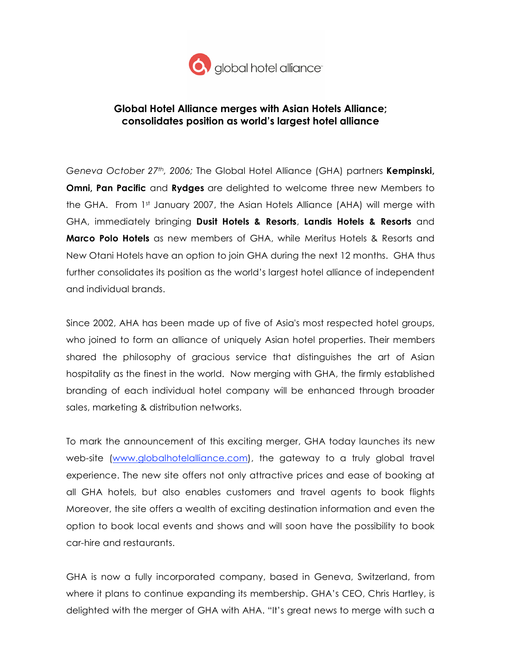

## **Global Hotel Alliance merges with Asian Hotels Alliance; consolidates position as world's largest hotel alliance**

*Geneva October 27th, 2006;* The Global Hotel Alliance (GHA) partners **Kempinski, Omni, Pan Pacific** and **Rydges** are delighted to welcome three new Members to the GHA. From  $1<sup>st</sup>$  January 2007, the Asian Hotels Alliance (AHA) will merge with GHA, immediately bringing **Dusit Hotels & Resorts**, **Landis Hotels & Resorts** and **Marco Polo Hotels** as new members of GHA, while Meritus Hotels & Resorts and New Otani Hotels have an option to join GHA during the next 12 months. GHA thus further consolidates its position as the world's largest hotel alliance of independent and individual brands.

Since 2002, AHA has been made up of five of Asia's most respected hotel groups, who joined to form an alliance of uniquely Asian hotel properties. Their members shared the philosophy of gracious service that distinguishes the art of Asian hospitality as the finest in the world. Now merging with GHA, the firmly established branding of each individual hotel company will be enhanced through broader sales, marketing & distribution networks.

To mark the announcement of this exciting merger, GHA today launches its new web-site (www.globalhotelalliance.com), the gateway to a truly global travel experience. The new site offers not only attractive prices and ease of booking at all GHA hotels, but also enables customers and travel agents to book flights Moreover, the site offers a wealth of exciting destination information and even the option to book local events and shows and will soon have the possibility to book car-hire and restaurants.

GHA is now a fully incorporated company, based in Geneva, Switzerland, from where it plans to continue expanding its membership. GHA's CEO, Chris Hartley, is delighted with the merger of GHA with AHA. "It's great news to merge with such a